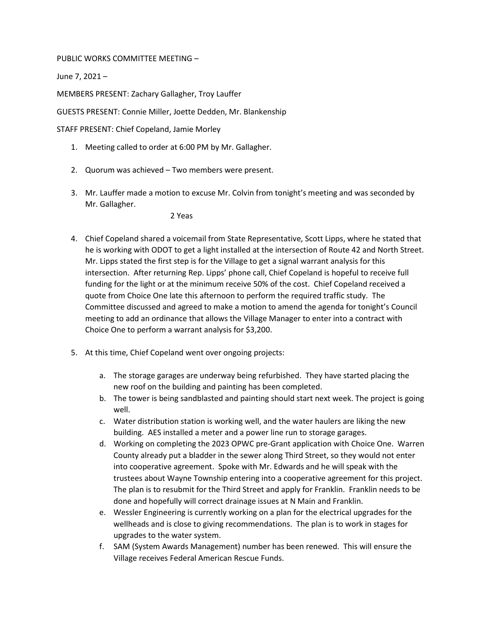## PUBLIC WORKS COMMITTEE MEETING –

June 7, 2021 –

MEMBERS PRESENT: Zachary Gallagher, Troy Lauffer

GUESTS PRESENT: Connie Miller, Joette Dedden, Mr. Blankenship

STAFF PRESENT: Chief Copeland, Jamie Morley

- 1. Meeting called to order at 6:00 PM by Mr. Gallagher.
- 2. Quorum was achieved Two members were present.
- 3. Mr. Lauffer made a motion to excuse Mr. Colvin from tonight's meeting and was seconded by Mr. Gallagher.

2 Yeas

- 4. Chief Copeland shared a voicemail from State Representative, Scott Lipps, where he stated that he is working with ODOT to get a light installed at the intersection of Route 42 and North Street. Mr. Lipps stated the first step is for the Village to get a signal warrant analysis for this intersection. After returning Rep. Lipps' phone call, Chief Copeland is hopeful to receive full funding for the light or at the minimum receive 50% of the cost. Chief Copeland received a quote from Choice One late this afternoon to perform the required traffic study. The Committee discussed and agreed to make a motion to amend the agenda for tonight's Council meeting to add an ordinance that allows the Village Manager to enter into a contract with Choice One to perform a warrant analysis for \$3,200.
- 5. At this time, Chief Copeland went over ongoing projects:
	- a. The storage garages are underway being refurbished. They have started placing the new roof on the building and painting has been completed.
	- b. The tower is being sandblasted and painting should start next week. The project is going well.
	- c. Water distribution station is working well, and the water haulers are liking the new building. AES installed a meter and a power line run to storage garages.
	- d. Working on completing the 2023 OPWC pre-Grant application with Choice One. Warren County already put a bladder in the sewer along Third Street, so they would not enter into cooperative agreement. Spoke with Mr. Edwards and he will speak with the trustees about Wayne Township entering into a cooperative agreement for this project. The plan is to resubmit for the Third Street and apply for Franklin. Franklin needs to be done and hopefully will correct drainage issues at N Main and Franklin.
	- e. Wessler Engineering is currently working on a plan for the electrical upgrades for the wellheads and is close to giving recommendations. The plan is to work in stages for upgrades to the water system.
	- f. SAM (System Awards Management) number has been renewed. This will ensure the Village receives Federal American Rescue Funds.